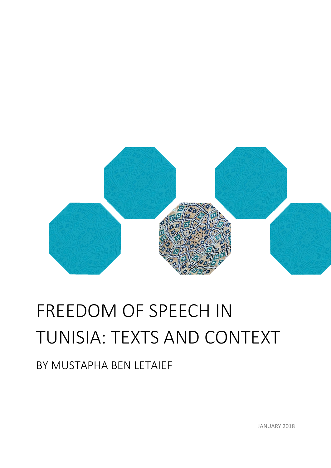

# FREEDOM OF SPEECH IN TUNISIA: TEXTS AND CONTEXT

BY MUSTAPHA BEN LETAIEF

JANUARY 2018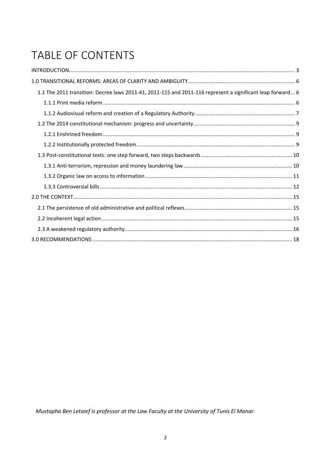## TABLE OF CONTENTS

| 1.1 The 2011 transition: Decree laws 2011-41, 2011-115 and 2011-116 represent a significant leap forward 6 |
|------------------------------------------------------------------------------------------------------------|
|                                                                                                            |
|                                                                                                            |
|                                                                                                            |
|                                                                                                            |
|                                                                                                            |
|                                                                                                            |
|                                                                                                            |
|                                                                                                            |
|                                                                                                            |
|                                                                                                            |
|                                                                                                            |
|                                                                                                            |
|                                                                                                            |
|                                                                                                            |

Mustapha Ben Letaief is professor at the Law Faculty at the University of Tunis El Manar.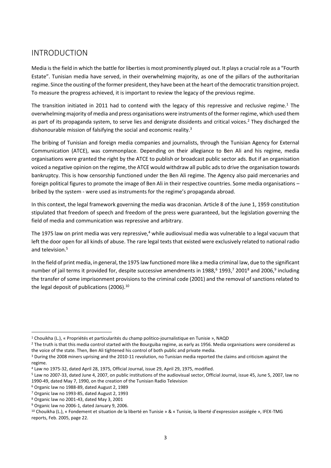## INTRODUCTION

Media is the field in which the battle for liberties is most prominently played out. It plays a crucial role as a "Fourth Estate". Tunisian media have served, in their overwhelming majority, as one of the pillars of the authoritarian regime. Since the ousting of the former president, they have been at the heart of the democratic transition project. To measure the progress achieved, it is important to review the legacy of the previous regime.

The transition initiated in 2011 had to contend with the legacy of this repressive and reclusive regime.<sup>1</sup> The overwhelming majority of media and press organisations were instruments of the former regime, which used them as part of its propaganda system, to serve lies and denigrate dissidents and critical voices.<sup>2</sup> They discharged the dishonourable mission of falsifying the social and economic reality.<sup>3</sup>

The bribing of Tunisian and foreign media companies and journalists, through the Tunisian Agency for External Communication (ATCE), was commonplace. Depending on their allegiance to Ben Ali and his regime, media organisations were granted the right by the ATCE to publish or broadcast public sector ads. But if an organisation voiced a negative opinion on the regime, the ATCE would withdraw all public ads to drive the organisation towards bankruptcy. This is how censorship functioned under the Ben Ali regime. The Agency also paid mercenaries and foreign political figures to promote the image of Ben Ali in their respective countries. Some media organisations – bribed by the system - were used as instruments for the regime's propaganda abroad.

In this context, the legal framework governing the media was draconian. Article 8 of the June 1, 1959 constitution stipulated that freedom of speech and freedom of the press were guaranteed, but the legislation governing the field of media and communication was repressive and arbitrary.

The 1975 law on print media was very repressive, $4$  while audiovisual media was vulnerable to a legal vacuum that left the door open for all kinds of abuse. The rare legal texts that existed were exclusively related to national radio and television.<sup>5</sup>

In the field of print media, in general, the 1975 law functioned more like a media criminal law, due to the significant number of jail terms it provided for, despite successive amendments in 1988,<sup>6</sup> 1993,<sup>7</sup> 2001<sup>8</sup> and 2006,<sup>9</sup> including the transfer of some imprisonment provisions to the criminal code (2001) and the removal of sanctions related to the legal deposit of publications (2006).<sup>10</sup>

1

<sup>1</sup> Chouikha (L.), « Propriétés et particularités du champ politico-journalistique en Tunisie », NAQD

<sup>&</sup>lt;sup>2</sup> The truth is that this media control started with the Bourguiba regime, as early as 1956. Media organisations were considered as the voice of the state. Then, Ben Ali tightened his control of both public and private media.

<sup>3</sup> During the 2008 miners uprising and the 2010-11 revolution, no Tunisian media reported the claims and criticism against the regime.

<sup>4</sup> Law no 1975-32, dated April 28, 1975, Official Journal, issue 29, April 29, 1975, modified.

<sup>5</sup> Law no 2007-33, dated June 4, 2007, on public institutions of the audiovisual sector, Official Journal, issue 45, June 5, 2007, law no 1990-49, dated May 7, 1990, on the creation of the Tunisian Radio Television

<sup>6</sup> Organic law no 1988-89, dated August 2, 1989

<sup>7</sup> Organic law no 1993-85, dated August 2, 1993

<sup>8</sup> Organic law no 2001-43, dated May 3, 2001

<sup>9</sup> Organic law no 2006-1, dated January 9, 2006.

<sup>10</sup> Chouikha (L.), « Fondement et situation de la liberté en Tunisie » & « Tunisie, la liberté d'expression assiégée », IFEX-TMG reports, Feb. 2005, page 22.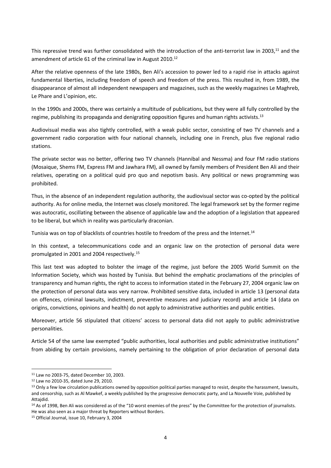This repressive trend was further consolidated with the introduction of the anti-terrorist law in 2003,<sup>11</sup> and the amendment of article 61 of the criminal law in August 2010.<sup>12</sup>

After the relative openness of the late 1980s, Ben Ali's accession to power led to a rapid rise in attacks against fundamental liberties, including freedom of speech and freedom of the press. This resulted in, from 1989, the disappearance of almost all independent newspapers and magazines, such as the weekly magazines Le Maghreb, Le Phare and L'opinion, etc.

In the 1990s and 2000s, there was certainly a multitude of publications, but they were all fully controlled by the regime, publishing its propaganda and denigrating opposition figures and human rights activists.<sup>13</sup>

Audiovisual media was also tightly controlled, with a weak public sector, consisting of two TV channels and a government radio corporation with four national channels, including one in French, plus five regional radio stations.

The private sector was no better, offering two TV channels (Hannibal and Nessma) and four FM radio stations (Mosaique, Shems FM, Express FM and Jawhara FM), all owned by family members of President Ben Ali and their relatives, operating on a political quid pro quo and nepotism basis. Any political or news programming was prohibited.

Thus, in the absence of an independent regulation authority, the audiovisual sector was co-opted by the political authority. As for online media, the Internet was closely monitored. The legal framework set by the former regime was autocratic, oscillating between the absence of applicable law and the adoption of a legislation that appeared to be liberal, but which in reality was particularly draconian.

Tunisia was on top of blacklists of countries hostile to freedom of the press and the Internet.<sup>14</sup>

In this context, a telecommunications code and an organic law on the protection of personal data were promulgated in 2001 and 2004 respectively.<sup>15</sup>

This last text was adopted to bolster the image of the regime, just before the 2005 World Summit on the Information Society, which was hosted by Tunisia. But behind the emphatic proclamations of the principles of transparency and human rights, the right to access to information stated in the February 27, 2004 organic law on the protection of personal data was very narrow. Prohibited sensitive data, included in article 13 (personal data on offences, criminal lawsuits, indictment, preventive measures and judiciary record) and article 14 (data on origins, convictions, opinions and health) do not apply to administrative authorities and public entities.

Moreover, article 56 stipulated that citizens' access to personal data did not apply to public administrative personalities.

Article 54 of the same law exempted "public authorities, local authorities and public administrative institutions" from abiding by certain provisions, namely pertaining to the obligation of prior declaration of personal data

 $\overline{a}$ 

<sup>14</sup> As of 1998, Ben Ali was considered as of the "10 worst enemies of the press" by the Committee for the protection of journalists. He was also seen as a major threat by Reporters without Borders.

<sup>11</sup> Law no 2003-75, dated December 10, 2003.

<sup>12</sup> Law no 2010-35, dated June 29, 2010.

<sup>&</sup>lt;sup>13</sup> Only a few low circulation publications owned by opposition political parties managed to resist, despite the harassment, lawsuits, and censorship, such as Al Mawkef, a weekly published by the progressive democratic party, and La Nouvelle Voie, published by Attaidid.

<sup>15</sup> Official Journal, issue 10, February 3, 2004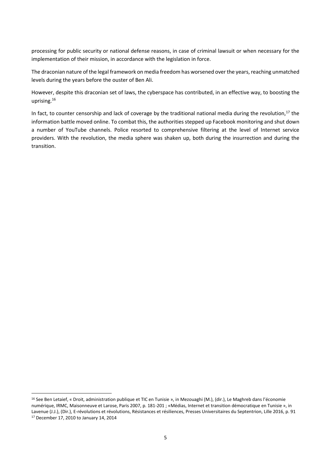processing for public security or national defense reasons, in case of criminal lawsuit or when necessary for the implementation of their mission, in accordance with the legislation in force.

The draconian nature of the legal framework on media freedom has worsened over the years, reaching unmatched levels during the years before the ouster of Ben Ali.

However, despite this draconian set of laws, the cyberspace has contributed, in an effective way, to boosting the uprising.<sup>16</sup>

In fact, to counter censorship and lack of coverage by the traditional national media during the revolution,<sup>17</sup> the information battle moved online. To combat this, the authorities stepped up Facebook monitoring and shut down a number of YouTube channels. Police resorted to comprehensive filtering at the level of Internet service providers. With the revolution, the media sphere was shaken up, both during the insurrection and during the transition.

**.** 

<sup>16</sup> See Ben Letaief, « Droit, administration publique et TIC en Tunisie », in Mezouaghi (M.), (dir.), Le Maghreb dans l'économie numérique, IRMC, Maisonneuve et Larose, Paris 2007, p. 181-201 ; «Médias, Internet et transition démocratique en Tunisie », in Lavenue (J.J.), (Dir.), E-révolutions et révolutions, Résistances et résiliences, Presses Universitaires du Septentrion, Lille 2016, p. 91 <sup>17</sup> December 17, 2010 to January 14, 2014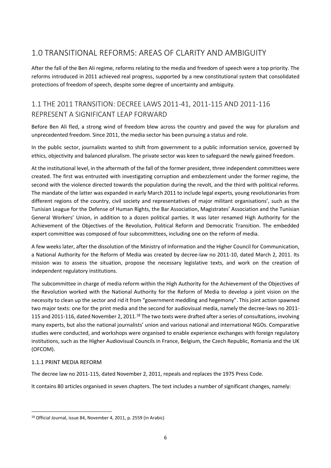## 1.0 TRANSITIONAL REFORMS: AREAS OF CLARITY AND AMBIGUITY

After the fall of the Ben Ali regime, reforms relating to the media and freedom of speech were a top priority. The reforms introduced in 2011 achieved real progress, supported by a new constitutional system that consolidated protections of freedom of speech, despite some degree of uncertainty and ambiguity.

## 1.1 THE 2011 TRANSITION: DECREE LAWS 2011-41, 2011-115 AND 2011-116 REPRESENT A SIGNIFICANT LEAP FORWARD

Before Ben Ali fled, a strong wind of freedom blew across the country and paved the way for pluralism and unprecedented freedom. Since 2011, the media sector has been pursuing a status and role.

In the public sector, journalists wanted to shift from government to a public information service, governed by ethics, objectivity and balanced pluralism. The private sector was keen to safeguard the newly gained freedom.

At the institutional level, in the aftermath of the fall of the former president, three independent committees were created. The first was entrusted with investigating corruption and embezzlement under the former regime, the second with the violence directed towards the population during the revolt, and the third with political reforms. The mandate of the latter was expanded in early March 2011 to include legal experts, young revolutionaries from different regions of the country, civil society and representatives of major militant organisations', such as the Tunisian League for the Defense of Human Rights, the Bar Association, Magistrates' Association and the Tunisian General Workers' Union, in addition to a dozen political parties. It was later renamed High Authority for the Achievement of the Objectives of the Revolution, Political Reform and Democratic Transition. The embedded expert committee was composed of four subcommittees, including one on the reform of media.

A few weeks later, after the dissolution of the Ministry of Information and the Higher Council for Communication, a National Authority for the Reform of Media was created by decree-law no 2011-10, dated March 2, 2011. Its mission was to assess the situation, propose the necessary legislative texts, and work on the creation of independent regulatory institutions.

The subcommittee in charge of media reform within the High Authority for the Achievement of the Objectives of the Revolution worked with the National Authority for the Reform of Media to develop a joint vision on the necessity to clean up the sector and rid it from "government meddling and hegemony". This joint action spawned two major texts: one for the print media and the second for audiovisual media, namely the decree-laws no 2011- 115 and 2011-116, dated November 2, 2011.<sup>18</sup> The two texts were drafted after a series of consultations, involving many experts, but also the national journalists' union and various national and international NGOs. Comparative studies were conducted, and workshops were organised to enable experience exchanges with foreign regulatory institutions, such as the Higher Audiovisual Councils in France, Belgium, the Czech Republic, Romania and the UK (OFCOM).

#### 1.1.1 PRINT MEDIA REFORM

The decree law no 2011-115, dated November 2, 2011, repeals and replaces the 1975 Press Code.

It contains 80 articles organised in seven chapters. The text includes a number of significant changes, namely:

**<sup>.</sup>** <sup>18</sup> Official Journal, issue 84, November 4, 2011, p. 2559 (in Arabic)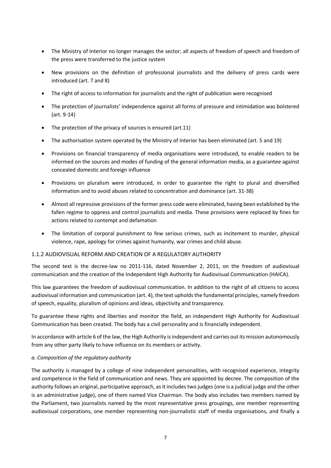- The Ministry of Interior no longer manages the sector; all aspects of freedom of speech and freedom of the press were transferred to the justice system
- New provisions on the definition of professional journalists and the delivery of press cards were introduced (art. 7 and 8)
- The right of access to information for journalists and the right of publication were recognised
- The protection of journalists' independence against all forms of pressure and intimidation was bolstered (art. 9-14)
- The protection of the privacy of sources is ensured (art.11)
- The authorisation system operated by the Ministry of Interior has been eliminated (art. 5 and 19)
- Provisions on financial transparency of media organisations were introduced, to enable readers to be informed on the sources and modes of funding of the general information media, as a guarantee against concealed domestic and foreign influence
- Provisions on pluralism were introduced, in order to guarantee the right to plural and diversified information and to avoid abuses related to concentration and dominance (art. 31-38)
- Almost all repressive provisions of the former press code were eliminated, having been established by the fallen regime to oppress and control journalists and media. These provisions were replaced by fines for actions related to contempt and defamation
- The limitation of corporal punishment to few serious crimes, such as incitement to murder, physical violence, rape, apology for crimes against humanity, war crimes and child abuse.

#### 1.1.2 AUDIOVISUAL REFORM AND CREATION OF A REGULATORY AUTHORITY

The second text is the decree-law no 2011-116, dated November 2, 2011, on the freedom of audiovisual communication and the creation of the Independent High Authority for Audiovisual Communication (HAICA).

This law guarantees the freedom of audiovisual communication. In addition to the right of all citizens to access audiovisual information and communication (art. 4), the text upholds the fundamental principles, namely freedom of speech, equality, pluralism of opinions and ideas, objectivity and transparency.

To guarantee these rights and liberties and monitor the field, an independent High Authority for Audiovisual Communication has been created. The body has a civil personality and is financially independent.

In accordance with article 6 of the law, the High Authority is independent and carries out its mission autonomously from any other party likely to have influence on its members or activity.

#### *a. Composition of the regulatory authority*

The authority is managed by a college of nine independent personalities, with recognised experience, integrity and competence in the field of communication and news. They are appointed by decree. The composition of the authority follows an original, participative approach, as it includes two judges (one is a judicial judge and the other is an administrative judge), one of them named Vice Chairman. The body also includes two members named by the Parliament, two journalists named by the most representative press groupings, one member representing audiovisual corporations, one member representing non-journalistic staff of media organisations, and finally a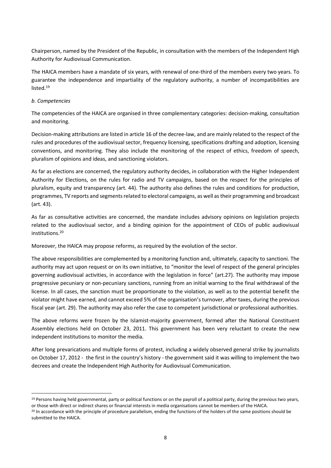Chairperson, named by the President of the Republic, in consultation with the members of the Independent High Authority for Audiovisual Communication.

The HAICA members have a mandate of six years, with renewal of one-third of the members every two years. To guarantee the independence and impartiality of the regulatory authority, a number of incompatibilities are listed. 19

#### *b. Competencies*

The competencies of the HAICA are organised in three complementary categories: decision-making, consultation and monitoring.

Decision-making attributions are listed in article 16 of the decree-law, and are mainly related to the respect of the rules and procedures of the audiovisual sector, frequency licensing, specifications drafting and adoption, licensing conventions, and monitoring. They also include the monitoring of the respect of ethics, freedom of speech, pluralism of opinions and ideas, and sanctioning violators.

As far as elections are concerned, the regulatory authority decides, in collaboration with the Higher Independent Authority for Elections, on the rules for radio and TV campaigns, based on the respect for the principles of pluralism, equity and transparency (art. 44). The authority also defines the rules and conditions for production, programmes, TV reports and segments related to electoral campaigns, as well as their programming and broadcast (art. 43).

As far as consultative activities are concerned, the mandate includes advisory opinions on legislation projects related to the audiovisual sector, and a binding opinion for the appointment of CEOs of public audiovisual institutions. 20

Moreover, the HAICA may propose reforms, as required by the evolution of the sector.

The above responsibilities are complemented by a monitoring function and, ultimately, capacity to sanctioni. The authority may act upon request or on its own initiative, to "monitor the level of respect of the general principles governing audiovisual activities, in accordance with the legislation in force" (art.27). The authority may impose progressive pecuniary or non-pecuniary sanctions, running from an initial warning to the final withdrawal of the license. In all cases, the sanction must be proportionate to the violation, as well as to the potential benefit the violator might have earned, and cannot exceed 5% of the organisation's turnover, after taxes, during the previous fiscal year (art. 29). The authority may also refer the case to competent jurisdictional or professional authorities.

The above reforms were frozen by the Islamist-majority government, formed after the National Constituent Assembly elections held on October 23, 2011. This government has been very reluctant to create the new independent institutions to monitor the media.

After long prevarications and multiple forms of protest, including a widely observed general strike by journalists on October 17, 2012 - the first in the country's history - the government said it was willing to implement the two decrees and create the Independent High Authority for Audiovisual Communication.

**<sup>.</sup>**  $19$  Persons having held governmental, party or political functions or on the payroll of a political party, during the previous two years. or those with direct or indirect shares or financial interests in media organisations cannot be members of the HAICA.

 $^{20}$  In accordance with the principle of procedure parallelism, ending the functions of the holders of the same positions should be submitted to the HAICA.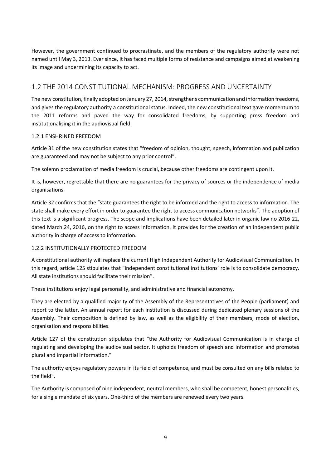However, the government continued to procrastinate, and the members of the regulatory authority were not named until May 3, 2013. Ever since, it has faced multiple forms of resistance and campaigns aimed at weakening its image and undermining its capacity to act.

### 1.2 THE 2014 CONSTITUTIONAL MECHANISM: PROGRESS AND UNCERTAINTY

The new constitution, finally adopted on January 27, 2014, strengthens communication and information freedoms, and gives the regulatory authority a constitutional status. Indeed, the new constitutional text gave momentum to the 2011 reforms and paved the way for consolidated freedoms, by supporting press freedom and institutionalising it in the audiovisual field.

#### 1.2.1 ENSHRINED FREEDOM

Article 31 of the new constitution states that "freedom of opinion, thought, speech, information and publication are guaranteed and may not be subject to any prior control".

The solemn proclamation of media freedom is crucial, because other freedoms are contingent upon it.

It is, however, regrettable that there are no guarantees for the privacy of sources or the independence of media organisations.

Article 32 confirms that the "state guarantees the right to be informed and the right to access to information. The state shall make every effort in order to guarantee the right to access communication networks". The adoption of this text is a significant progress. The scope and implications have been detailed later in organic law no 2016-22, dated March 24, 2016, on the right to access information. It provides for the creation of an independent public authority in charge of access to information.

#### 1.2.2 INSTITUTIONALLY PROTECTED FREEDOM

A constitutional authority will replace the current High Independent Authority for Audiovisual Communication. In this regard, article 125 stipulates that "independent constitutional institutions' role is to consolidate democracy. All state institutions should facilitate their mission".

These institutions enjoy legal personality, and administrative and financial autonomy.

They are elected by a qualified majority of the Assembly of the Representatives of the People (parliament) and report to the latter. An annual report for each institution is discussed during dedicated plenary sessions of the Assembly. Their composition is defined by law, as well as the eligibility of their members, mode of election, organisation and responsibilities.

Article 127 of the constitution stipulates that "the Authority for Audiovisual Communication is in charge of regulating and developing the audiovisual sector. It upholds freedom of speech and information and promotes plural and impartial information."

The authority enjoys regulatory powers in its field of competence, and must be consulted on any bills related to the field".

The Authority is composed of nine independent, neutral members, who shall be competent, honest personalities, for a single mandate of six years. One-third of the members are renewed every two years.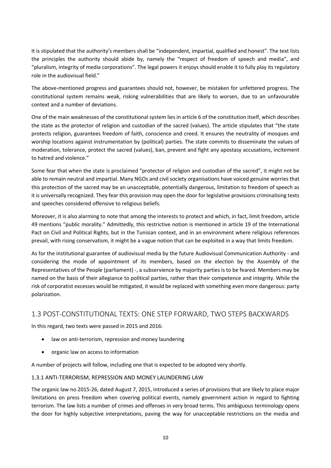It is stipulated that the authority's members shall be "independent, impartial, qualified and honest". The text lists the principles the authority should abide by, namely the "respect of freedom of speech and media", and "pluralism, integrity of media corporations". The legal powers it enjoys should enable it to fully play its regulatory role in the audiovisual field."

The above-mentioned progress and guarantees should not, however, be mistaken for unfettered progress. The constitutional system remains weak, risking vulnerabilities that are likely to worsen, due to an unfavourable context and a number of deviations.

One of the main weaknesses of the constitutional system lies in article 6 of the constitution itself, which describes the state as the protector of religion and custodian of the sacred (values). The article stipulates that "the state protects religion, guarantees freedom of faith, conscience and creed. It ensures the neutrality of mosques and worship locations against instrumentation by (political) parties. The state commits to disseminate the values of moderation, tolerance, protect the sacred (values), ban, prevent and fight any apostasy accusations, incitement to hatred and violence."

Some fear that when the state is proclaimed "protector of religion and custodian of the sacred", it might not be able to remain neutral and impartial. Many NGOs and civil society organisations have voiced genuine worries that this protection of the sacred may be an unacceptable, potentially dangerous, limitation to freedom of speech as it is universally recognized. They fear this provision may open the door for legislative provisions criminalising texts and speeches considered offensive to religious beliefs.

Moreover, it is also alarming to note that among the interests to protect and which, in fact, limit freedom, article 49 mentions "public morality." Admittedly, this restrictive notion is mentioned in article 19 of the International Pact on Civil and Political Rights, but in the Tunisian context, and in an environment where religious references prevail, with rising conservatism, it might be a vague notion that can be exploited in a way that limits freedom.

As for the institutional guarantee of audiovisual media by the future Audiovisual Communication Authority - and considering the mode of appointment of its members, based on the election by the Assembly of the Representatives of the People (parliament) -, a subservience by majority parties is to be feared. Members may be named on the basis of their allegiance to political parties, rather than their competence and integrity. While the risk of corporatist excesses would be mitigated, it would be replaced with something even more dangerous: party polarization.

#### 1.3 POST-CONSTITUTIONAL TEXTS: ONE STEP FORWARD, TWO STEPS BACKWARDS

In this regard, two texts were passed in 2015 and 2016:

- law on anti-terrorism, repression and money laundering
- organic law on access to information

A number of projects will follow, including one that is expected to be adopted very shortly.

#### 1.3.1 ANTI-TERRORISM, REPRESSION AND MONEY LAUNDERING LAW

The organic law no 2015-26, dated August 7, 2015, introduced a series of provisions that are likely to place major limitations on press freedom when covering political events, namely government action in regard to fighting terrorism. The law lists a number of crimes and offenses in very broad terms. This ambiguous terminology opens the door for highly subjective interpretations, paving the way for unacceptable restrictions on the media and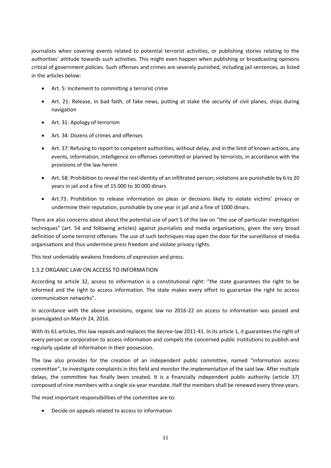journalists when covering events related to potential terrorist activities, or publishing stories relating to the authorities' attitude towards such activities. This might even happen when publishing or broadcasting opinions critical of government policies. Such offenses and crimes are severely punished, including jail sentences, as listed in the articles below:

- Art. 5: incitement to committing a terrorist crime
- Art. 21: Release, in bad faith, of fake news, putting at stake the security of civil planes, ships during navigation
- Art. 31: Apology of terrorism
- Art. 34: Dozens of crimes and offenses
- Art. 37: Refusing to report to competent authorities, without delay, and in the limit of known actions, any events, information, intelligence on offenses committed or planned by terrorists, in accordance with the provisions of the law herein
- Art. 58: Prohibition to reveal the real identity of an infiltrated person; violations are punishable by 6 to 20 years in jail and a fine of 15 000 to 30 000 dinars
- Art.73: Prohibition to release information on pleas or decisions likely to violate victims' privacy or undermine their reputation, punishable by one year in jail and a fine of 1000 dinars.

There are also concerns about about the potential use of part 5 of the law on "the use of particular investigation techniques" (art. 54 and following articles) against journalists and media organisations, given the very broad definition of some terrorist offenses. The use of such techniques may open the door for the surveillance of media organisations and thus undermine press freedom and violate privacy rights.

This text undeniably weakens freedoms of expression and press.

#### 1.3.2 ORGANIC LAW ON ACCESS TO INFORMATION

According to article 32, access to information is a constitutional right: "the state guarantees the right to be informed and the right to access information. The state makes every effort to guarantee the right to access communication networks".

In accordance with the above provisions, organic law no 2016-22 on access to information was passed and promulgated on March 24, 2016.

With its 61 articles, this law repeals and replaces the decree-law 2011-41. In its article 1, it guarantees the right of every person or corporation to access information and compels the concerned public institutions to publish and regularly update all information in their possession.

The law also provides for the creation of an independent public committee, named "information access committee", to investigate complaints in this field and monitor the implementation of the said law. After multiple delays, the committee has finally been created. It is a financially independent public authority (article 37) composed of nine members with a single six-year mandate. Half the members shall be renewed every three years.

The most important responsibilities of the committee are to:

• Decide on appeals related to access to information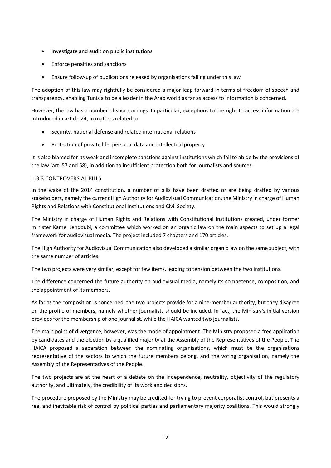- Investigate and audition public institutions
- Enforce penalties and sanctions
- Ensure follow-up of publications released by organisations falling under this law

The adoption of this law may rightfully be considered a major leap forward in terms of freedom of speech and transparency, enabling Tunisia to be a leader in the Arab world as far as access to information is concerned.

However, the law has a number of shortcomings. In particular, exceptions to the right to access information are introduced in article 24, in matters related to:

- Security, national defense and related international relations
- Protection of private life, personal data and intellectual property.

It is also blamed for its weak and incomplete sanctions against institutions which fail to abide by the provisions of the law (art. 57 and 58), in addition to insufficient protection both for journalists and sources.

#### 1.3.3 CONTROVERSIAL BILLS

In the wake of the 2014 constitution, a number of bills have been drafted or are being drafted by various stakeholders, namely the current High Authority for Audiovisual Communication, the Ministry in charge of Human Rights and Relations with Constitutional Institutions and Civil Society.

The Ministry in charge of Human Rights and Relations with Constitutional Institutions created, under former minister Kamel Jendoubi, a committee which worked on an organic law on the main aspects to set up a legal framework for audiovisual media. The project included 7 chapters and 170 articles.

The High Authority for Audiovisual Communication also developed a similar organic law on the same subject, with the same number of articles.

The two projects were very similar, except for few items, leading to tension between the two institutions.

The difference concerned the future authority on audiovisual media, namely its competence, composition, and the appointment of its members.

As far as the composition is concerned, the two projects provide for a nine-member authority, but they disagree on the profile of members, namely whether journalists should be included. In fact, the Ministry's initial version provides for the membership of one journalist, while the HAICA wanted two journalists.

The main point of divergence, however, was the mode of appointment. The Ministry proposed a free application by candidates and the election by a qualified majority at the Assembly of the Representatives of the People. The HAICA proposed a separation between the nominating organisations, which must be the organisations representative of the sectors to which the future members belong, and the voting organisation, namely the Assembly of the Representatives of the People.

The two projects are at the heart of a debate on the independence, neutrality, objectivity of the regulatory authority, and ultimately, the credibility of its work and decisions.

The procedure proposed by the Ministry may be credited for trying to prevent corporatist control, but presents a real and inevitable risk of control by political parties and parliamentary majority coalitions. This would strongly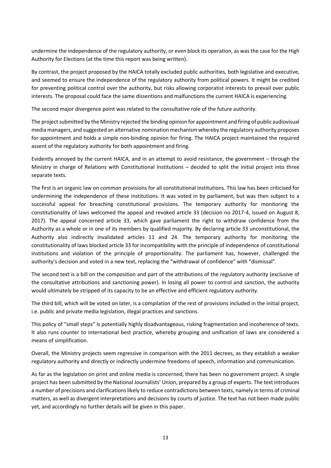undermine the independence of the regulatory authority, or even block its operation, as was the case for the High Authority for Elections (at the time this report was being written).

By contrast, the project proposed by the HAICA totally excluded public authorities, both legislative and executive, and seemed to ensure the independence of the regulatory authority from political powers. It might be credited for preventing political control over the authority, but risks allowing corporatist interests to prevail over public interests. The proposal could face the same dissentions and malfunctions the current HAICA is experiencing.

The second major divergence point was related to the consultative role of the future authority.

The project submitted by the Ministry rejected the binding opinion for appointment and firing of public audiovisual media managers, and suggested an alternative nomination mechanism whereby the regulatory authority proposes for appointment and holds a simple non-binding opinion for firing. The HAICA project maintained the required assent of the regulatory authority for both appointment and firing.

Evidently annoyed by the current HAICA, and in an attempt to avoid resistance, the government – through the Ministry in charge of Relations with Constitutional Institutions – decided to split the initial project into three separate texts.

The first is an organic law on common provisions for all constitutional institutions. This law has been criticised for undermining the independence of these institutions. It was voted in by parliament, but was then subject to a successful appeal for breaching constitutional provisions. The temporary authority for monitoring the constitutionality of laws welcomed the appeal and revoked article 33 (decision no 2017-4, issued on August 8, 2017). The appeal concerned article 33, which gave parliament the right to withdraw confidence from the Authority as a whole or in one of its members by qualified majority. By declaring article 33 unconstitutional, the Authority also indirectly invalidated articles 11 and 24. The temporary authority for monitoring the constitutionality of laws blocked article 33 for incompatibility with the principle of independence of constitutional institutions and violation of the principle of proportionality. The parliament has, however, challenged the authority's decision and voted in a new text, replacing the "withdrawal of confidence" with "dismissal".

The second text is a bill on the composition and part of the attributions of the regulatory authority (exclusive of the consultative attributions and sanctioning power). In losing all power to control and sanction, the authority would ultimately be stripped of its capacity to be an effective and efficient regulatory authority.

The third bill, which will be voted on later, is a compilation of the rest of provisions included in the initial project, i.e. public and private media legislation, illegal practices and sanctions.

This policy of "small steps" is potentially highly disadvantageous, risking fragmentation and incoherence of texts. It also runs counter to international best practice, whereby grouping and unification of laws are considered a means of simplification.

Overall, the Ministry projects seem regressive in comparison with the 2011 decrees, as they establish a weaker regulatory authority and directly or indirectly undermine freedoms of speech, information and communication.

As far as the legislation on print and online media is concerned, there has been no government project. A single project has been submitted by the National Journalists' Union, prepared by a group of experts. The text introduces a number of precisions and clarifications likely to reduce contradictions between texts, namely in terms of criminal matters, as well as divergent interpretations and decisions by courts of justice. The text has not been made public yet, and accordingly no further details will be given in this paper.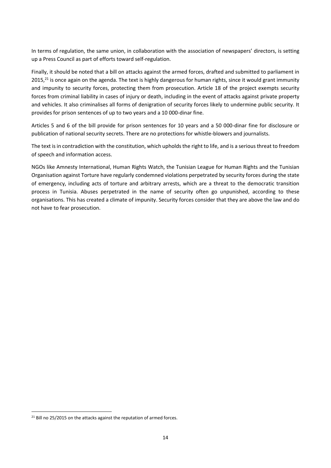In terms of regulation, the same union, in collaboration with the association of newspapers' directors, is setting up a Press Council as part of efforts toward self-regulation.

Finally, it should be noted that a bill on attacks against the armed forces, drafted and submitted to parliament in  $2015$ , $^{21}$  is once again on the agenda. The text is highly dangerous for human rights, since it would grant immunity and impunity to security forces, protecting them from prosecution. Article 18 of the project exempts security forces from criminal liability in cases of injury or death, including in the event of attacks against private property and vehicles. It also criminalises all forms of denigration of security forces likely to undermine public security. It provides for prison sentences of up to two years and a 10 000-dinar fine.

Articles 5 and 6 of the bill provide for prison sentences for 10 years and a 50 000-dinar fine for disclosure or publication of national security secrets. There are no protections for whistle-blowers and journalists.

The text is in contradiction with the constitution, which upholds the right to life, and is a serious threat to freedom of speech and information access.

NGOs like Amnesty International, Human Rights Watch, the Tunisian League for Human Rights and the Tunisian Organisation against Torture have regularly condemned violations perpetrated by security forces during the state of emergency, including acts of torture and arbitrary arrests, which are a threat to the democratic transition process in Tunisia. Abuses perpetrated in the name of security often go unpunished, according to these organisations. This has created a climate of impunity. Security forces consider that they are above the law and do not have to fear prosecution.

**.** 

<sup>&</sup>lt;sup>21</sup> Bill no 25/2015 on the attacks against the reputation of armed forces.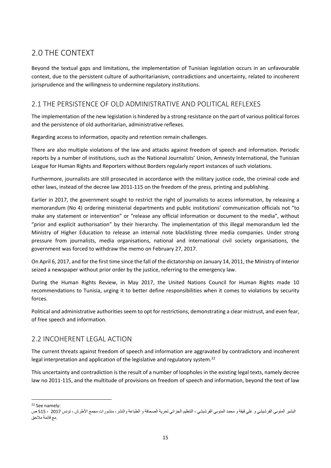## 2.0 THE CONTEXT

Beyond the textual gaps and limitations, the implementation of Tunisian legislation occurs in an unfavourable context, due to the persistent culture of authoritarianism, contradictions and uncertainty, related to incoherent jurisprudence and the willingness to undermine regulatory institutions.

#### 2.1 THE PERSISTENCE OF OLD ADMINISTRATIVE AND POLITICAL REFLEXES

The implementation of the new legislation is hindered by a strong resistance on the part of various political forces and the persistence of old authoritarian, administrative reflexes.

Regarding access to information, opacity and retention remain challenges.

There are also multiple violations of the law and attacks against freedom of speech and information. Periodic reports by a number of institutions, such as the National Journalists' Union, Amnesty International, the Tunisian League for Human Rights and Reporters without Borders regularly report instances of such violations.

Furthermore, journalists are still prosecuted in accordance with the military justice code, the criminal code and other laws, instead of the decree law 2011-115 on the freedom of the press, printing and publishing.

Earlier in 2017, the government sought to restrict the right of journalists to access information, by releasing a memorandum (No 4) ordering ministerial departments and public institutions' communication officials not "to make any statement or intervention" or "release any official information or document to the media", without "prior and explicit authorisation" by their hierarchy. The implementation of this illegal memorandum led the Ministry of Higher Education to release an internal note blacklisting three media companies. Under strong pressure from journalists, media organisations, national and international civil society organisations, the government was forced to withdraw the memo on February 27, 2017.

On April 6, 2017, and for the first time since the fall of the dictatorship on January 14, 2011, the Ministry of Interior seized a newspaper without prior order by the justice, referring to the emergency law.

During the Human Rights Review, in May 2017, the United Nations Council for Human Rights made 10 recommendations to Tunisia, urging it to better define responsibilities when it comes to violations by security forces.

Political and administrative authorities seem to opt for restrictions, demonstrating a clear mistrust, and even fear, of free speech and information.

#### 2.2 INCOHERENT LEGAL ACTION

The current threats against freedom of speech and information are aggravated by contradictory and incoherent legal interpretation and application of the legislative and regulatory system.<sup>22</sup>

This uncertainty and contradiction is the result of a number of loopholes in the existing legal texts, namely decree law no 2011-115, and the multitude of provisions on freedom of speech and information, beyond the text of law

**.** 

<sup>22</sup> See namely:

البشير المنوبي الفرشيشي و علي قيقة و محمد المنوبي الفرشيشي ، التنظيم الجزائي لحرية الصحافة و الطباعة والنشر، منشورات مجمع األطرش ، تونس 2017 ، 515 ص .مع قائمة مالحق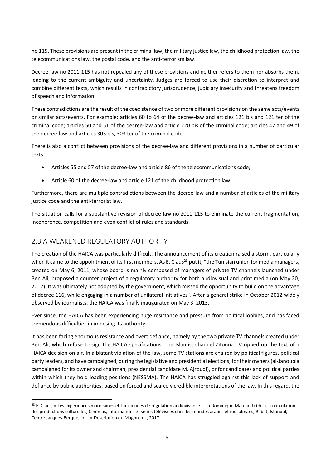no 115. These provisions are present in the criminal law, the military justice law, the childhood protection law, the telecommunications law, the postal code, and the anti-terrorism law.

Decree-law no 2011-115 has not repealed any of these provisions and neither refers to them nor absorbs them, leading to the current ambiguity and uncertainty. Judges are forced to use their discretion to interpret and combine different texts, which results in contradictory jurisprudence, judiciary insecurity and threatens freedom of speech and information.

These contradictions are the result of the coexistence of two or more different provisions on the same acts/events or similar acts/events. For example: articles 60 to 64 of the decree-law and articles 121 bis and 121 ter of the criminal code; articles 50 and 51 of the decree-law and article 220 bis of the criminal code; articles 47 and 49 of the decree-law and articles 303 bis, 303 ter of the criminal code.

There is also a conflict between provisions of the decree-law and different provisions in a number of particular texts:

- Articles 55 and 57 of the decree-law and article 86 of the telecommunications code;
- Article 60 of the decree-law and article 121 of the childhood protection law.

Furthermore, there are multiple contradictions between the decree-law and a number of articles of the military justice code and the anti-terrorist law.

The situation calls for a substantive revision of decree-law no 2011-115 to eliminate the current fragmentation, incoherence, competition and even conflict of rules and standards.

#### 2.3 A WEAKENED REGULATORY AUTHORITY

**.** 

The creation of the HAICA was particularly difficult. The announcement of its creation raised a storm, particularly when it came to the appointment of its first members. As E. Claus<sup>23</sup> put it, "the Tunisian union for media managers, created on May 6, 2011, whose board is mainly composed of managers of private TV channels launched under Ben Ali, proposed a counter project of a regulatory authority for both audiovisual and print media (on May 20, 2012). It was ultimately not adopted by the government, which missed the opportunity to build on the advantage of decree 116, while engaging in a number of unilateral initiatives". After a general strike in October 2012 widely observed by journalists, the HAICA was finally inaugurated on May 3, 2013.

Ever since, the HAICA has been experiencing huge resistance and pressure from political lobbies, and has faced tremendous difficulties in imposing its authority.

It has been facing enormous resistance and overt defiance, namely by the two private TV channels created under Ben Ali, which refuse to sign the HAICA specifications. The Islamist channel Zitouna TV ripped up the text of a HAICA decision on air. In a blatant violation of the law, some TV stations are chaired by political figures, political party leaders, and have campaigned, during the legislative and presidential elections, for their owners (al-Janoubia campaigned for its owner and chairman, presidential candidate M. Ajroudi), or for candidates and political parties within which they hold leading positions (NESSMA). The HAICA has struggled against this lack of support and defiance by public authorities, based on forced and scarcely credible interpretations of the law. In this regard, the

<sup>&</sup>lt;sup>23</sup> E. Claus, « Les expériences marocaines et tunisiennes de régulation audiovisuelle », In Dominique Marchetti (dir.), La circulation des productions culturelles, Cinémas, informations et séries télévisées dans les mondes arabes et musulmans, Rabat, Istanbul, Centre Jacques-Berque, coll. « Description du Maghreb », 2017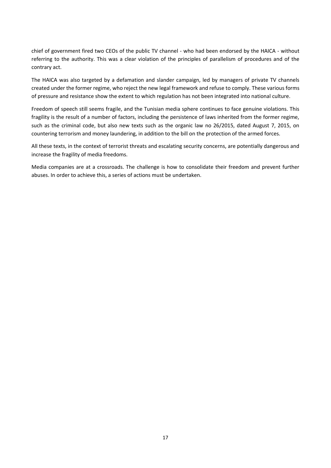chief of government fired two CEOs of the public TV channel - who had been endorsed by the HAICA - without referring to the authority. This was a clear violation of the principles of parallelism of procedures and of the contrary act.

The HAICA was also targeted by a defamation and slander campaign, led by managers of private TV channels created under the former regime, who reject the new legal framework and refuse to comply. These various forms of pressure and resistance show the extent to which regulation has not been integrated into national culture.

Freedom of speech still seems fragile, and the Tunisian media sphere continues to face genuine violations. This fragility is the result of a number of factors, including the persistence of laws inherited from the former regime, such as the criminal code, but also new texts such as the organic law no 26/2015, dated August 7, 2015, on countering terrorism and money laundering, in addition to the bill on the protection of the armed forces.

All these texts, in the context of terrorist threats and escalating security concerns, are potentially dangerous and increase the fragility of media freedoms.

Media companies are at a crossroads. The challenge is how to consolidate their freedom and prevent further abuses. In order to achieve this, a series of actions must be undertaken.